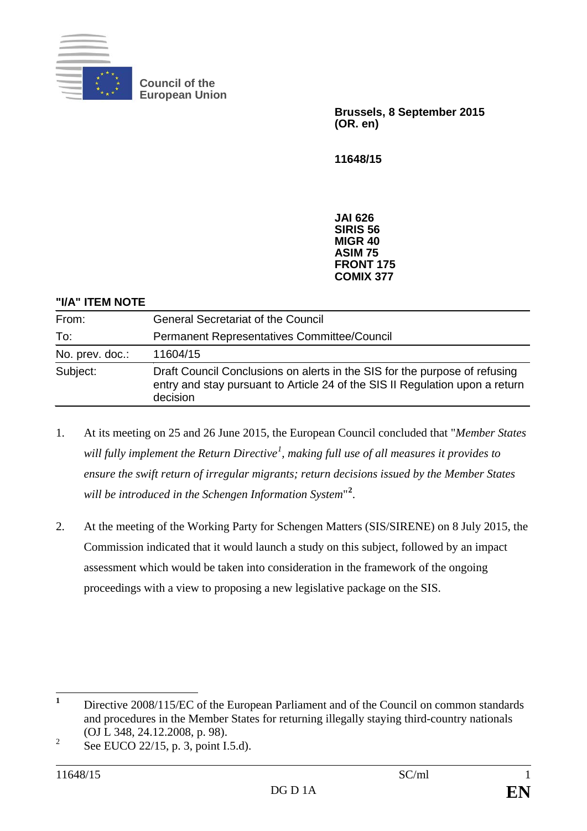

**Council of the European Union**

> **Brussels, 8 September 2015 (OR. en)**

**11648/15**

**JAI 626 SIRIS 56 MIGR 40 ASIM 75 FRONT 175 COMIX 377**

## **"I/A" ITEM NOTE**

| From:           | <b>General Secretariat of the Council</b>                                                                                                                              |
|-----------------|------------------------------------------------------------------------------------------------------------------------------------------------------------------------|
| To:             | Permanent Representatives Committee/Council                                                                                                                            |
| No. prev. doc.: | 11604/15                                                                                                                                                               |
| Subject:        | Draft Council Conclusions on alerts in the SIS for the purpose of refusing<br>entry and stay pursuant to Article 24 of the SIS II Regulation upon a return<br>decision |

- 1. At its meeting on 25 and 26 June 2015, the European Council concluded that "*Member States will fully implement the Return Directive[1](#page-0-0) , making full use of all measures it provides to ensure the swift return of irregular migrants; return decisions issued by the Member States will be introduced in the Schengen Information System*" **[2](#page-0-1)** .
- 2. At the meeting of the Working Party for Schengen Matters (SIS/SIRENE) on 8 July 2015, the Commission indicated that it would launch a study on this subject, followed by an impact assessment which would be taken into consideration in the framework of the ongoing proceedings with a view to proposing a new legislative package on the SIS.

<span id="page-0-0"></span>**<sup>1</sup>** Directive 2008/115/EC of the European Parliament and of the Council on common standards and procedures in the Member States for returning illegally staying third-country nationals (OJ L 348, 24.12.2008, p. 98).

<span id="page-0-1"></span> $2^2$  See EUCO 22/15, p. 3, point I.5.d).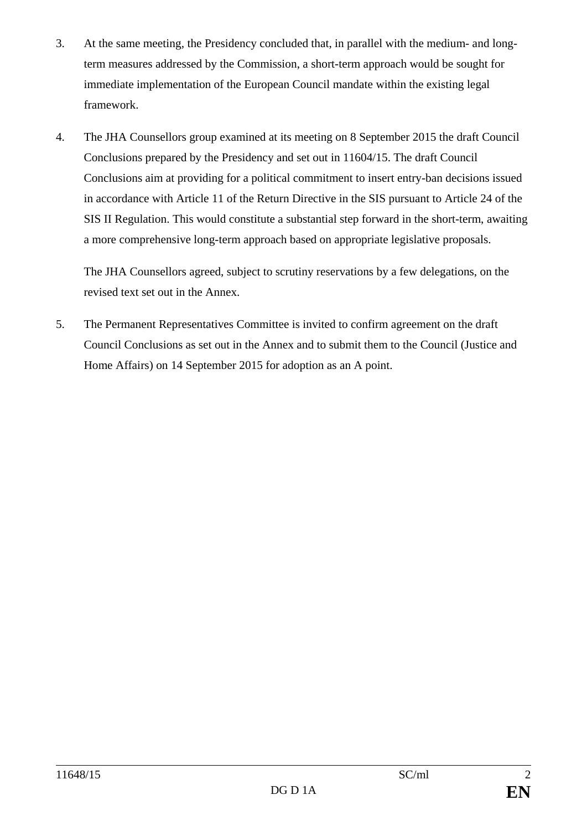- 3. At the same meeting, the Presidency concluded that, in parallel with the medium- and longterm measures addressed by the Commission, a short-term approach would be sought for immediate implementation of the European Council mandate within the existing legal framework.
- 4. The JHA Counsellors group examined at its meeting on 8 September 2015 the draft Council Conclusions prepared by the Presidency and set out in 11604/15. The draft Council Conclusions aim at providing for a political commitment to insert entry-ban decisions issued in accordance with Article 11 of the Return Directive in the SIS pursuant to Article 24 of the SIS II Regulation. This would constitute a substantial step forward in the short-term, awaiting a more comprehensive long-term approach based on appropriate legislative proposals.

The JHA Counsellors agreed, subject to scrutiny reservations by a few delegations, on the revised text set out in the Annex.

5. The Permanent Representatives Committee is invited to confirm agreement on the draft Council Conclusions as set out in the Annex and to submit them to the Council (Justice and Home Affairs) on 14 September 2015 for adoption as an A point.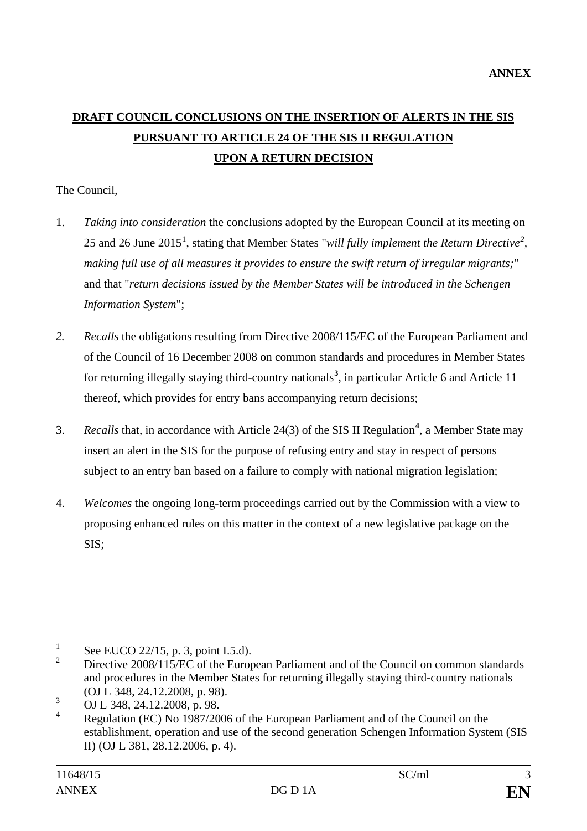## **DRAFT COUNCIL CONCLUSIONS ON THE INSERTION OF ALERTS IN THE SIS PURSUANT TO ARTICLE 24 OF THE SIS II REGULATION UPON A RETURN DECISION**

## The Council,

- 1. *Taking into consideration* the conclusions adopted by the European Council at its meeting on 25 and 26 June 20[1](#page-2-0)5<sup>1</sup>, stating that Member States "*will fully implement the Return Directive*<sup>[2](#page-2-1)</sup>, *making full use of all measures it provides to ensure the swift return of irregular migrants;*" and that "*return decisions issued by the Member States will be introduced in the Schengen Information System*";
- *2. Recalls* the obligations resulting from Directive 2008/115/EC of the European Parliament and of the Council of 16 December 2008 on common standards and procedures in Member States for returning illegally staying third-country nationals**[3](#page-2-2)** , in particular Article 6 and Article 11 thereof, which provides for entry bans accompanying return decisions;
- 3. *Recalls* that, in accordance with Article 24(3) of the SIS II Regulation**[4](#page-2-3)** , a Member State may insert an alert in the SIS for the purpose of refusing entry and stay in respect of persons subject to an entry ban based on a failure to comply with national migration legislation;
- 4. *Welcomes* the ongoing long-term proceedings carried out by the Commission with a view to proposing enhanced rules on this matter in the context of a new legislative package on the SIS;

<span id="page-2-0"></span><sup>&</sup>lt;sup>1</sup> See EUCO 22/15, p. 3, point I.5.d).<br><sup>2</sup> Directive 2008/115/EC of the Euro

<span id="page-2-1"></span><sup>2</sup> Directive 2008/115/EC of the European Parliament and of the Council on common standards and procedures in the Member States for returning illegally staying third-country nationals (OJ L 348, 24.12.2008, p. 98).

<span id="page-2-2"></span> $\overline{O}$  OJ L 348, 24.12.2008, p. 98.

<span id="page-2-3"></span>Regulation (EC) No 1987/2006 of the European Parliament and of the Council on the establishment, operation and use of the second generation Schengen Information System (SIS II) (OJ L 381, 28.12.2006, p. 4).